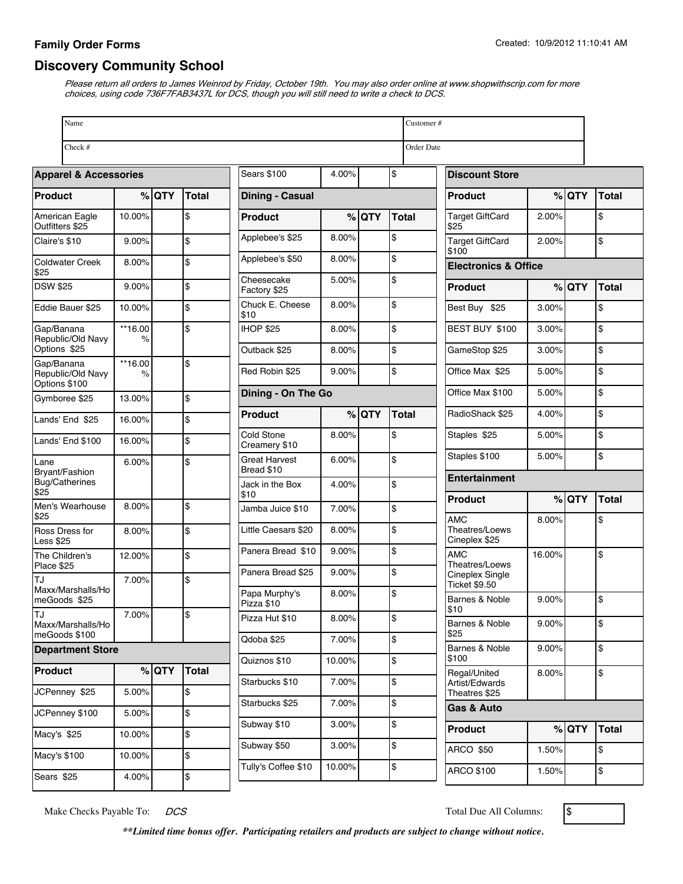## **Family Order Forms**

## **Discovery Community School**

Please return all orders to James Weinrod by Friday, October 19th. You may also order online at www.shopwithscrip.com for more choices, using code 736F7FAB3437L for DCS, though you will still need to write a check to DCS.

| Name                                     | Customer#    |         |              |                                    |        |         |              |                       |                                         |                                 |              |                    |  |
|------------------------------------------|--------------|---------|--------------|------------------------------------|--------|---------|--------------|-----------------------|-----------------------------------------|---------------------------------|--------------|--------------------|--|
| Check #<br>Order Date                    |              |         |              |                                    |        |         |              |                       |                                         |                                 |              |                    |  |
| <b>Apparel &amp; Accessories</b>         |              |         |              | \$<br><b>Sears \$100</b><br>4.00%  |        |         |              | <b>Discount Store</b> |                                         |                                 |              |                    |  |
| Product                                  |              | $%$ QTY | <b>Total</b> | <b>Dining - Casual</b>             |        |         |              | <b>Product</b>        |                                         | $%$ QTY                         | <b>Total</b> |                    |  |
| American Eagle<br>Outfitters \$25        | 10.00%       |         | \$           | Product                            |        | $%$ QTY | <b>Total</b> |                       | <b>Target GiftCard</b><br>\$25          | 2.00%                           |              | \$                 |  |
| Claire's \$10                            | 9.00%        |         | \$           | Applebee's \$25                    | 8.00%  |         | \$           |                       | <b>Target GiftCard</b><br>\$100         | 2.00%                           |              | \$                 |  |
| <b>Coldwater Creek</b><br>\$25           | 8.00%        |         | \$           | Applebee's \$50                    | 8.00%  |         | \$           |                       |                                         | <b>Electronics &amp; Office</b> |              |                    |  |
| <b>DSW \$25</b>                          | 9.00%        |         | \$           | Cheesecake<br>Factory \$25         | 5.00%  |         | \$           |                       | <b>Product</b>                          |                                 | $%$ QTY      | <b>Total</b>       |  |
| Eddie Bauer \$25                         | 10.00%       |         | \$           | Chuck E. Cheese<br>\$10            | 8.00%  |         | \$           |                       | Best Buy \$25                           | 3.00%                           |              | \$                 |  |
| Gap/Banana<br>Republic/Old Navy          | **16.00<br>% |         | \$           | <b>IHOP \$25</b>                   | 8.00%  |         | \$           |                       | BEST BUY \$100                          | 3.00%                           |              | \$                 |  |
| Options \$25<br>Gap/Banana               | **16.00      |         | \$           | Outback \$25                       | 8.00%  |         | \$           |                       | GameStop \$25                           | 3.00%                           |              | \$                 |  |
| Republic/Old Navy<br>Options \$100       | %            |         |              | Red Robin \$25                     | 9.00%  |         | \$           |                       | Office Max \$25                         | 5.00%                           |              | \$                 |  |
| Gymboree \$25                            | 13.00%       |         | \$           | Dining - On The Go                 |        |         |              |                       | Office Max \$100                        | 5.00%                           |              | \$                 |  |
| Lands' End \$25                          | 16.00%       |         | \$           | Product                            |        | $%$ QTY | <b>Total</b> |                       | RadioShack \$25                         | 4.00%                           |              | \$                 |  |
| Lands' End \$100                         | 16.00%       |         | \$           | Cold Stone<br>Creamery \$10        | 8.00%  |         | \$           |                       | Staples \$25                            | 5.00%                           |              | \$                 |  |
| Lane<br>Bryant/Fashion                   | 6.00%        |         | \$           | <b>Great Harvest</b><br>Bread \$10 | 6.00%  |         | \$           |                       | Staples \$100                           | 5.00%                           |              | \$                 |  |
| Bug/Catherines<br>\$25                   |              |         |              | Jack in the Box<br>\$10            | 4.00%  |         | \$           |                       | Entertainment                           |                                 |              |                    |  |
| Men's Wearhouse<br>\$25                  | 8.00%        |         | \$           | Jamba Juice \$10                   | 7.00%  |         | \$           |                       | <b>Product</b><br><b>AMC</b>            | 8.00%                           | $%$ QTY      | <b>Total</b><br>\$ |  |
| Ross Dress for<br><b>Less \$25</b>       | 8.00%        |         | \$           | Little Caesars \$20                | 8.00%  |         | \$           |                       | Theatres/Loews<br>Cineplex \$25         |                                 |              |                    |  |
| The Children's<br>Place \$25             | 12.00%       |         | \$           | Panera Bread \$10                  | 9.00%  |         | \$           |                       | <b>AMC</b><br>Theatres/Loews            | 16.00%                          |              | \$                 |  |
| TJ                                       | 7.00%        |         | \$           | Panera Bread \$25                  | 9.00%  |         | \$           |                       | Cineplex Single<br><b>Ticket \$9.50</b> |                                 |              |                    |  |
| Maxx/Marshalls/Ho<br>meGoods \$25        |              |         |              | Papa Murphy's<br>Pizza \$10        | 8.00%  |         | \$           |                       | Barnes & Noble<br>\$10                  | 9.00%                           |              | \$                 |  |
| TJ<br>Maxx/Marshalls/Ho                  | 7.00%        |         | \$           | Pizza Hut \$10                     | 8.00%  |         | \$           |                       | Barnes & Noble<br>\$25                  | 9.00%                           |              | \$                 |  |
| meGoods \$100<br><b>Department Store</b> |              |         |              | Qdoba \$25                         | 7.00%  |         | \$           |                       | Barnes & Noble                          | 9.00%                           |              | \$                 |  |
| Product                                  |              | $%$ QTY | Total        | Quiznos \$10                       | 10.00% |         | \$           |                       | \$100<br>Regal/United                   | 8.00%                           |              | \$                 |  |
| JCPenney \$25                            | 5.00%        |         | \$           | Starbucks \$10                     | 7.00%  |         | \$           |                       | Artist/Edwards<br>Theatres \$25         |                                 |              |                    |  |
| JCPenney \$100                           | 5.00%        |         | \$           | Starbucks \$25                     | 7.00%  |         | \$           |                       | Gas & Auto                              |                                 |              |                    |  |
| Macy's \$25                              | 10.00%       |         | \$           | Subway \$10                        | 3.00%  |         | \$           |                       | <b>Product</b>                          |                                 | $%$ QTY      | <b>Total</b>       |  |
| Macy's \$100                             | 10.00%       |         | \$           | Subway \$50                        | 3.00%  |         | \$           |                       | <b>ARCO \$50</b>                        | 1.50%                           |              | \$                 |  |
| Sears \$25                               | 4.00%        |         | \$           | Tully's Coffee \$10                | 10.00% |         | \$           |                       | ARCO \$100                              | 1.50%                           |              | \$                 |  |

Make Checks Payable To:  $DCS$   $\qquad$  Total Due All Columns:  $\qquad$ 

*\*\*Limited time bonus offer. Participating retailers and products are subject to change without notice.*